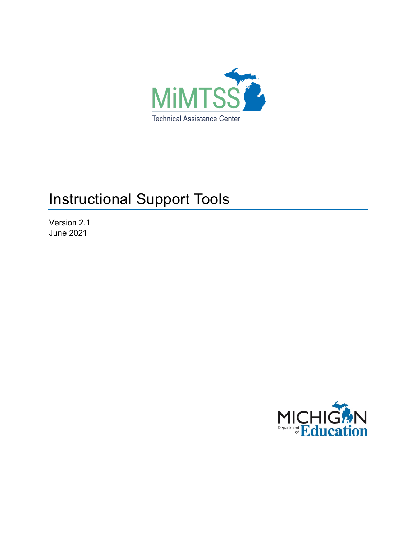

# Instructional Support Tools

Version 2.1 June 2021

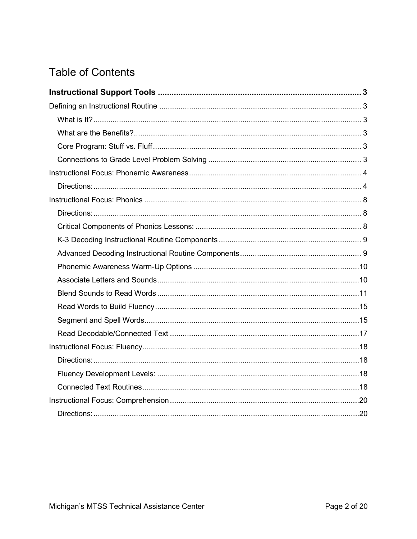## **Table of Contents**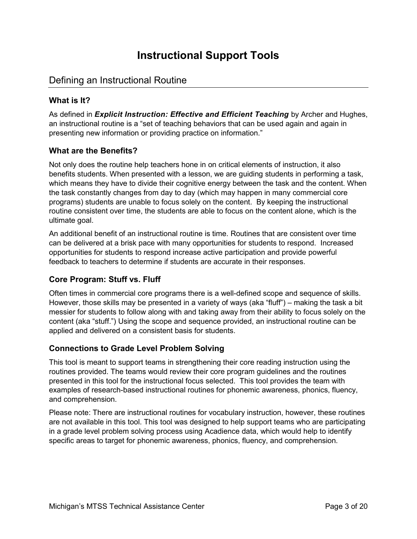## **Instructional Support Tools**

## <span id="page-2-1"></span><span id="page-2-0"></span>Defining an Instructional Routine

## <span id="page-2-2"></span>**What is It?**

As defined in *Explicit Instruction: Effective and Efficient Teaching* by Archer and Hughes, an instructional routine is a "set of teaching behaviors that can be used again and again in presenting new information or providing practice on information."

## <span id="page-2-3"></span>**What are the Benefits?**

Not only does the routine help teachers hone in on critical elements of instruction, it also benefits students. When presented with a lesson, we are guiding students in performing a task, which means they have to divide their cognitive energy between the task and the content. When the task constantly changes from day to day (which may happen in many commercial core programs) students are unable to focus solely on the content. By keeping the instructional routine consistent over time, the students are able to focus on the content alone, which is the ultimate goal.

An additional benefit of an instructional routine is time. Routines that are consistent over time can be delivered at a brisk pace with many opportunities for students to respond. Increased opportunities for students to respond increase active participation and provide powerful feedback to teachers to determine if students are accurate in their responses.

## <span id="page-2-4"></span>**Core Program: Stuff vs. Fluff**

Often times in commercial core programs there is a well-defined scope and sequence of skills. However, those skills may be presented in a variety of ways (aka "fluff") – making the task a bit messier for students to follow along with and taking away from their ability to focus solely on the content (aka "stuff.") Using the scope and sequence provided, an instructional routine can be applied and delivered on a consistent basis for students.

## <span id="page-2-5"></span>**Connections to Grade Level Problem Solving**

This tool is meant to support teams in strengthening their core reading instruction using the routines provided. The teams would review their core program guidelines and the routines presented in this tool for the instructional focus selected. This tool provides the team with examples of research-based instructional routines for phonemic awareness, phonics, fluency, and comprehension.

Please note: There are instructional routines for vocabulary instruction, however, these routines are not available in this tool. This tool was designed to help support teams who are participating in a grade level problem solving process using Acadience data, which would help to identify specific areas to target for phonemic awareness, phonics, fluency, and comprehension.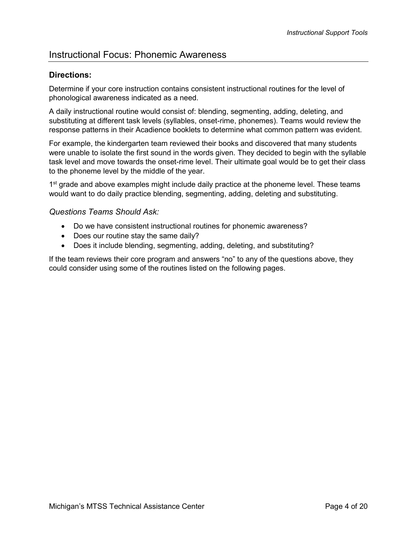## <span id="page-3-0"></span>Instructional Focus: Phonemic Awareness

### <span id="page-3-1"></span>**Directions:**

Determine if your core instruction contains consistent instructional routines for the level of phonological awareness indicated as a need.

A daily instructional routine would consist of: blending, segmenting, adding, deleting, and substituting at different task levels (syllables, onset-rime, phonemes). Teams would review the response patterns in their Acadience booklets to determine what common pattern was evident.

For example, the kindergarten team reviewed their books and discovered that many students were unable to isolate the first sound in the words given. They decided to begin with the syllable task level and move towards the onset-rime level. Their ultimate goal would be to get their class to the phoneme level by the middle of the year.

1<sup>st</sup> grade and above examples might include daily practice at the phoneme level. These teams would want to do daily practice blending, segmenting, adding, deleting and substituting.

#### *Questions Teams Should Ask:*

- Do we have consistent instructional routines for phonemic awareness?
- Does our routine stay the same daily?
- Does it include blending, segmenting, adding, deleting, and substituting?

If the team reviews their core program and answers "no" to any of the questions above, they could consider using some of the routines listed on the following pages.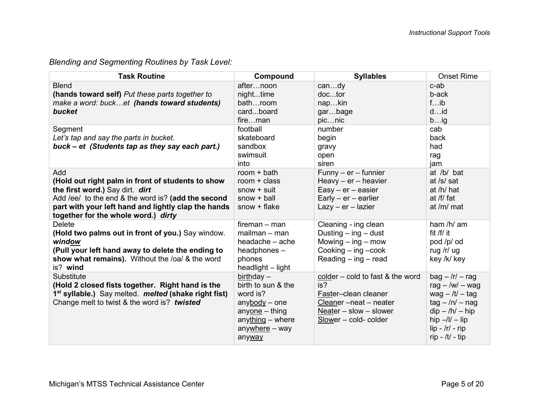## *Blending and Segmenting Routines by Task Level:*

| <b>Task Routine</b>                                                                                                                                                                                                                             | Compound                                                                                                                                | <b>Syllables</b>                                                                                                                          | <b>Onset Rime</b>                                                                                                                                                                           |
|-------------------------------------------------------------------------------------------------------------------------------------------------------------------------------------------------------------------------------------------------|-----------------------------------------------------------------------------------------------------------------------------------------|-------------------------------------------------------------------------------------------------------------------------------------------|---------------------------------------------------------------------------------------------------------------------------------------------------------------------------------------------|
| <b>Blend</b><br>(hands toward self) Put these parts together to<br>make a word: bucket (hands toward students)<br>bucket                                                                                                                        | afternoon<br>nighttime<br>bathroom<br>cardboard<br>fireman                                                                              | candy<br>doctor<br>napkin<br>garbage<br>picnic                                                                                            | c-ab<br>b-ack<br>fib<br>did<br>big                                                                                                                                                          |
| Segment<br>Let's tap and say the parts in bucket.<br>buck – et (Students tap as they say each part.)                                                                                                                                            | football<br>skateboard<br>sandbox<br>swimsuit<br>into                                                                                   | number<br>begin<br>gravy<br>open<br>siren                                                                                                 | cab<br>back<br>had<br>rag<br>jam                                                                                                                                                            |
| Add<br>(Hold out right palm in front of students to show<br>the first word.) Say dirt. dirt<br>Add /ee/ to the end & the word is? (add the second<br>part with your left hand and lightly clap the hands<br>together for the whole word.) dirty | room $+$ bath<br>room $+$ class<br>$snow + suit$<br>$snow + ball$<br>$snow + flake$                                                     | $Funny - er - funnier$<br>Heavy $-$ er $-$ heavier<br>$Easy - er - easier$<br>$Early - er - earlier$<br>$Lazy - er - lazier$              | at /b/ bat<br>at /s/ sat<br>at /h/ hat<br>at /f/ fat<br>at /m/ $mat$                                                                                                                        |
| <b>Delete</b><br>(Hold two palms out in front of you.) Say window.<br>window<br>(Pull your left hand away to delete the ending to<br>show what remains). Without the /oa/ & the word<br>is? wind                                                | $f$ ireman – man<br>$mailman - man$<br>headache - ache<br>headphones -<br>phones<br>headlight - light                                   | Cleaning - ing clean<br>Dusting $-$ ing $-$ dust<br>Mowing $-$ ing $-$ mow<br>Cooking $-$ ing $-\text{cook}$<br>Reading $-$ ing $-$ read  | ham $/h/$ am<br>fit /f/ it<br>pod /p/ od<br>rug /r/ ug<br>key /k/ key                                                                                                                       |
| Substitute<br>(Hold 2 closed fists together. Right hand is the<br>1 <sup>st</sup> syllable.) Say melted. <i>melted</i> (shake right fist)<br>Change melt to twist & the word is? twisted                                                        | birthday $-$<br>birth to sun & the<br>word is?<br>$anybody - one$<br>$anyone - thing$<br>$anything - where$<br>anywhere - way<br>anyway | colder - cold to fast & the word<br>is?<br>Faster-clean cleaner<br>Cleaner-neat-neater<br>Neater - slow - slower<br>Slower - cold- colder | $bag - /r/ - rag$<br>rag $-$ /w/ $-$ wag<br>wag $-$ /t/ $-$ tag<br>$tag - n/ - n$<br>$\text{dip} - \text{/h} - \text{hip}$<br>hip $-$ /l/ $-$ lip<br>$lip - /r/ - rip$<br>$rip - /t/ - tip$ |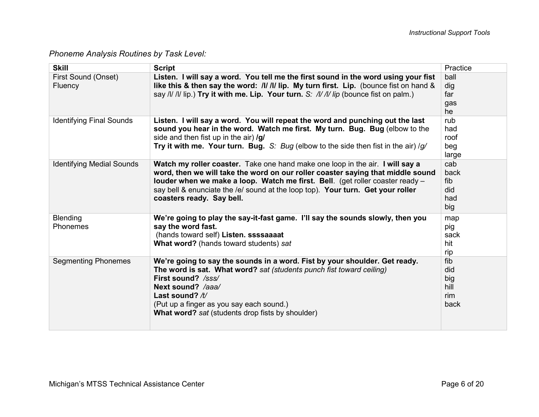*Phoneme Analysis Routines by Task Level:* 

| <b>Skill</b>                     | <b>Script</b>                                                                                                                                                                                                                                                                                                                                                     | Practice                                 |
|----------------------------------|-------------------------------------------------------------------------------------------------------------------------------------------------------------------------------------------------------------------------------------------------------------------------------------------------------------------------------------------------------------------|------------------------------------------|
| First Sound (Onset)<br>Fluency   | Listen. I will say a word. You tell me the first sound in the word using your fist<br>like this & then say the word: /// /// lip. My turn first. Lip. (bounce fist on hand &<br>say /l/ /l/ lip.) Try it with me. Lip. Your turn. S: /l/ /l/ lip (bounce fist on palm.)                                                                                           | ball<br>dig<br>far<br>gas<br>he          |
| <b>Identifying Final Sounds</b>  | Listen. I will say a word. You will repeat the word and punching out the last<br>sound you hear in the word. Watch me first. My turn. Bug. Bug (elbow to the<br>side and then fist up in the air) /g/<br>Try it with me. Your turn. Bug. S: Bug (elbow to the side then fist in the air) /g/                                                                      | rub<br>had<br>roof<br>beg<br>large       |
| <b>Identifying Medial Sounds</b> | Watch my roller coaster. Take one hand make one loop in the air. I will say a<br>word, then we will take the word on our roller coaster saying that middle sound<br>louder when we make a loop. Watch me first. Bell. (get roller coaster ready -<br>say bell & enunciate the /e/ sound at the loop top). Your turn. Get your roller<br>coasters ready. Say bell. | cab<br>back<br>fib<br>did<br>had<br>big  |
| Blending<br><b>Phonemes</b>      | We're going to play the say-it-fast game. I'll say the sounds slowly, then you<br>say the word fast.<br>(hands toward self) Listen. ssssaaaat<br>What word? (hands toward students) sat                                                                                                                                                                           | map<br>pig<br>sack<br>hit<br>rip         |
| <b>Segmenting Phonemes</b>       | We're going to say the sounds in a word. Fist by your shoulder. Get ready.<br>The word is sat. What word? sat (students punch fist toward ceiling)<br>First sound? /sss/<br>Next sound? /aaa/<br>Last sound? $/t/$<br>(Put up a finger as you say each sound.)<br>What word? sat (students drop fists by shoulder)                                                | fib<br>did<br>big<br>hill<br>rim<br>back |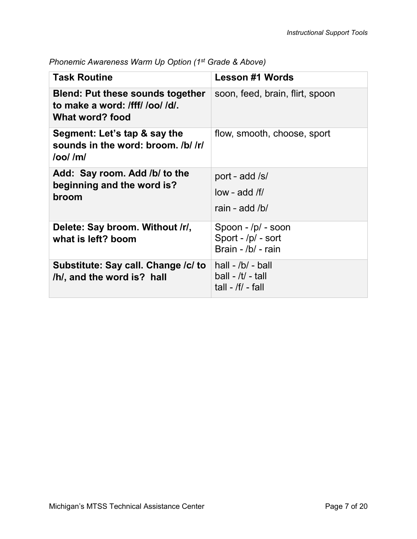| <b>Task Routine</b>                                                                           | <b>Lesson #1 Words</b>                                              |
|-----------------------------------------------------------------------------------------------|---------------------------------------------------------------------|
| <b>Blend: Put these sounds together</b><br>to make a word: /fff/ /oo/ /d/.<br>What word? food | soon, feed, brain, flirt, spoon                                     |
| Segment: Let's tap & say the<br>sounds in the word: broom. /b/ /r/<br>$\log / \text{m}$       | flow, smooth, choose, sport                                         |
| Add: Say room. Add /b/ to the<br>beginning and the word is?<br>broom                          | port - add /s/<br>$low$ - add /f/<br>rain - add $/b/$               |
| Delete: Say broom. Without /r/,<br>what is left? boom                                         | Spoon - /p/ - soon<br>Sport - /p/ - sort<br>Brain - /b/ - rain      |
| Substitute: Say call. Change /c/ to<br>/h/, and the word is? hall                             | hall $-$ /b/ $-$ ball<br>$ball - /t/ - tall$<br>tall - $/f/$ - fall |

*Phonemic Awareness Warm Up Option (1st Grade & Above)*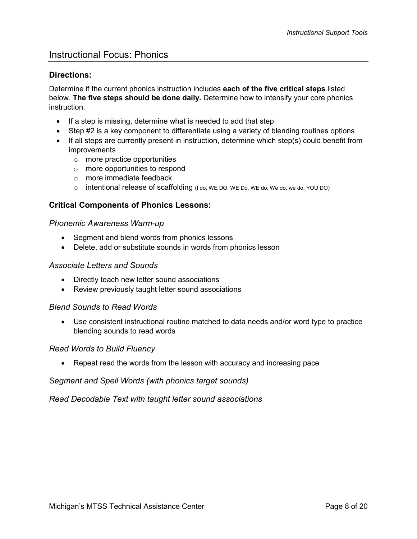## <span id="page-7-0"></span>Instructional Focus: Phonics

### <span id="page-7-1"></span>**Directions:**

Determine if the current phonics instruction includes **each of the five critical steps** listed below. **The five steps should be done daily.** Determine how to intensify your core phonics instruction.

- If a step is missing, determine what is needed to add that step
- Step #2 is a key component to differentiate using a variety of blending routines options
- If all steps are currently present in instruction, determine which step(s) could benefit from improvements
	- o more practice opportunities
	- o more opportunities to respond
	- o more immediate feedback
	- o intentional release of scaffolding (I do, WE DO, WE Do, WE do, We do, we do, YOU DO)

### <span id="page-7-2"></span>**Critical Components of Phonics Lessons:**

*Phonemic Awareness Warm-up* 

- Segment and blend words from phonics lessons
- Delete, add or substitute sounds in words from phonics lesson

#### *Associate Letters and Sounds*

- Directly teach new letter sound associations
- Review previously taught letter sound associations

#### *Blend Sounds to Read Words*

• Use consistent instructional routine matched to data needs and/or word type to practice blending sounds to read words

#### *Read Words to Build Fluency*

• Repeat read the words from the lesson with accuracy and increasing pace

#### *Segment and Spell Words (with phonics target sounds)*

*Read Decodable Text with taught letter sound associations*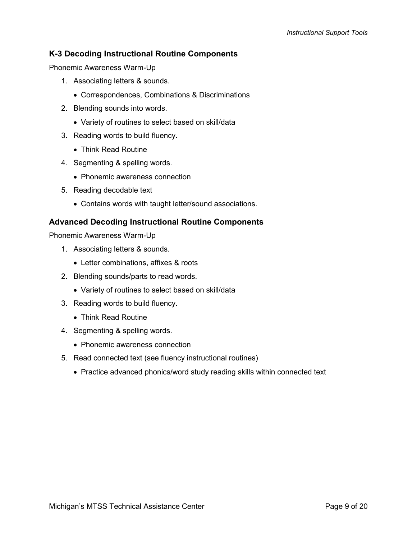## <span id="page-8-0"></span>**K-3 Decoding Instructional Routine Components**

Phonemic Awareness Warm-Up

- 1. Associating letters & sounds.
	- Correspondences, Combinations & Discriminations
- 2. Blending sounds into words.
	- Variety of routines to select based on skill/data
- 3. Reading words to build fluency.
	- Think Read Routine
- 4. Segmenting & spelling words.
	- Phonemic awareness connection
- 5. Reading decodable text
	- Contains words with taught letter/sound associations.

## <span id="page-8-1"></span>**Advanced Decoding Instructional Routine Components**

Phonemic Awareness Warm-Up

- 1. Associating letters & sounds.
	- Letter combinations, affixes & roots
- 2. Blending sounds/parts to read words.
	- Variety of routines to select based on skill/data
- 3. Reading words to build fluency.
	- Think Read Routine
- 4. Segmenting & spelling words.
	- Phonemic awareness connection
- 5. Read connected text (see fluency instructional routines)
	- Practice advanced phonics/word study reading skills within connected text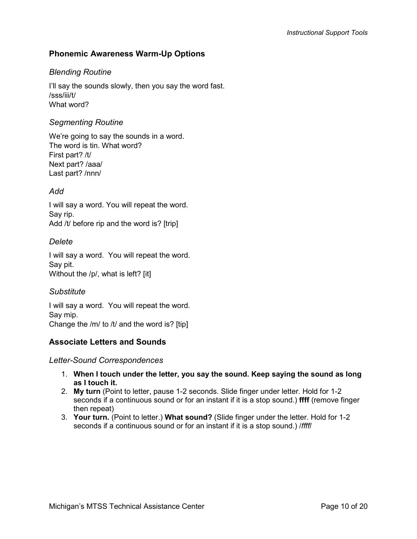## <span id="page-9-0"></span>**Phonemic Awareness Warm-Up Options**

## *Blending Routine*

I'll say the sounds slowly, then you say the word fast. /sss/iii/t/ What word?

#### *Segmenting Routine*

We're going to say the sounds in a word. The word is tin. What word? First part? /t/ Next part? /aaa/ Last part? /nnn/

## *Add*

I will say a word. You will repeat the word. Say rip. Add /t/ before rip and the word is? [trip]

## *Delete*

I will say a word. You will repeat the word. Say pit. Without the /p/, what is left? [it]

## *Substitute*

I will say a word. You will repeat the word. Say mip. Change the /m/ to /t/ and the word is? [tip]

## <span id="page-9-1"></span>**Associate Letters and Sounds**

#### *Letter-Sound Correspondences*

- 1. **When I touch under the letter, you say the sound. Keep saying the sound as long as I touch it.**
- 2. **My turn** (Point to letter, pause 1-2 seconds. Slide finger under letter. Hold for 1-2 seconds if a continuous sound or for an instant if it is a stop sound.) **ffff** (remove finger then repeat)
- 3. **Your turn.** (Point to letter.) **What sound?** (Slide finger under the letter. Hold for 1-2 seconds if a continuous sound or for an instant if it is a stop sound.) /*ffff*/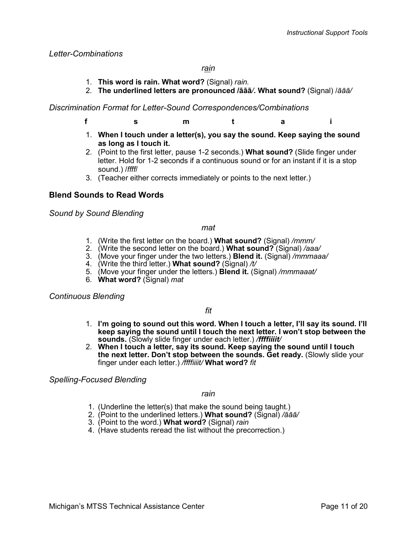#### *Letter-Combinations*

#### *rain*

- 1. **This word is rain. What word?** (Signal) *rain.*
- 2. **The underlined letters are pronounced /āāā***/***. What sound?** (Signal) /*āāā/*

#### *Discrimination Format for Letter-Sound Correspondences/Combinations*

- **f s m t a i**
- 1. **When I touch under a letter(s), you say the sound. Keep saying the sound as long as I touch it.**
- 2. (Point to the first letter, pause 1-2 seconds.) **What sound?** (Slide finger under letter. Hold for 1-2 seconds if a continuous sound or for an instant if it is a stop sound.) /*ffff*/
- 3. (Teacher either corrects immediately or points to the next letter.)

### <span id="page-10-0"></span>**Blend Sounds to Read Words**

*Sound by Sound Blending*

#### *mat*

- 1. (Write the first letter on the board.) **What sound?** (Signal) */mmm/*
- 2. (Write the second letter on the board.) **What sound?** (Signal) */aaa/*
- 3. (Move your finger under the two letters.) **Blend it.** (Signal) */mmmaaa/*
- 4. (Write the third letter.) **What sound?** (Signal) */t/*
- 5. (Move your finger under the letters.) **Blend it.** (Signal) */mmmaaat/*
- 6. **What word?** (Signal) *mat*

#### *Continuous Blending*

#### *fit*

- 1. **I'm going to sound out this word. When I touch a letter, I'll say its sound. I'll keep saying the sound until I touch the next letter. I won't stop between the sounds.** (Slowly slide finger under each letter.) */ffffiiiit/*
- 2. **When I touch a letter, say its sound. Keep saying the sound until I touch the next letter. Don't stop between the sounds. Get ready.** (Slowly slide your finger under each letter.) */ffffiiiit/* **What word?** *fit*

*Spelling-Focused Blending*

#### *rain*

- 1. (Underline the letter(s) that make the sound being taught.)
- 2. (Point to the underlined letters.) **What sound?** (Signal) */āāā/*
- 3. (Point to the word.) **What word?** (Signal) *rain*
- 4. (Have students reread the list without the precorrection.)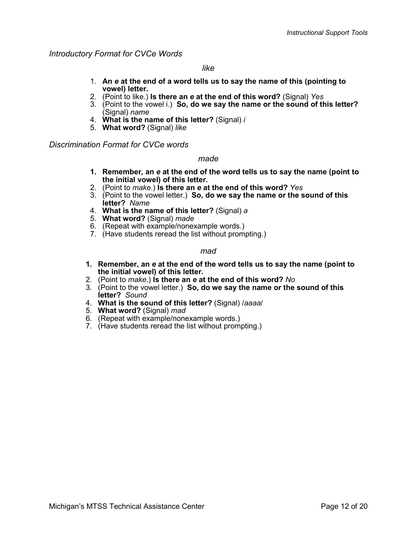*Introductory Format for CVCe Words*

#### *like*

- 1. **An** *e* **at the end of a word tells us to say the name of this (pointing to vowel) letter.**
- 2. (Point to like.) **Is there an** *e* **at the end of this word?** (Signal) *Yes*
- 3. (Point to the vowel i.) **So, do we say the name or the sound of this letter?**  (Signal) *name*
- 4. **What is the name of this letter?** (Signal) *i*
- 5. **What word?** (Signal) *like*

*Discrimination Format for CVCe words*

#### *made*

- **1. Remember, an** *e* **at the end of the word tells us to say the name (point to the initial vowel) of this letter.**
- 2. (Point to *make*.) **Is there an** *e* **at the end of this word?** *Yes*
- 3. (Point to the vowel letter.) **So, do we say the name or the sound of this letter?** *Name*
- 4. **What is the name of this letter?** (Signal) *a*
- 5. **What word?** (Signal) *made*
- 6. (Repeat with example/nonexample words.)
- 7. (Have students reread the list without prompting.)

#### *mad*

- **1. Remember, an** *e* **at the end of the word tells us to say the name (point to the initial vowel) of this letter.**
- 2. (Point to *make*.) **Is there an** *e* **at the end of this word?** *No*
- 3. (Point to the vowel letter.) **So, do we say the name or the sound of this letter?** *Sound*
- 4. **What is the sound of this letter?** (Signal) /*aaaa*/
- 5. **What word?** (Signal) *mad*
- 6. (Repeat with example/nonexample words.)
- 7. (Have students reread the list without prompting.)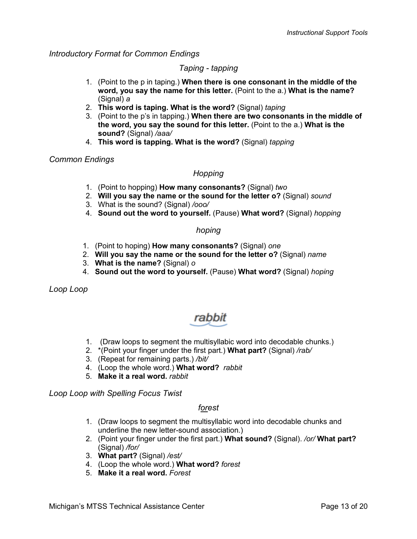*Introductory Format for Common Endings*

### *Taping - tapping*

- 1. (Point to the p in taping.) **When there is one consonant in the middle of the word, you say the name for this letter.** (Point to the a.) **What is the name?**  (Signal) *a*
- 2. **This word is taping. What is the word?** (Signal) *taping*
- 3. (Point to the p's in tapping.) **When there are two consonants in the middle of the word, you say the sound for this letter.** (Point to the a.) **What is the sound?** (Signal) */aaa/*
- 4. **This word is tapping. What is the word?** (Signal) *tapping*

## *Common Endings*

## *Hopping*

- 1. (Point to hopping) **How many consonants?** (Signal) *two*
- 2. **Will you say the name or the sound for the letter o?** (Signal) *sound*
- 3. What is the sound? (Signal) */ooo/*
- 4. **Sound out the word to yourself.** (Pause) **What word?** (Signal) *hopping*

### *hoping*

- 1. (Point to hoping) **How many consonants?** (Signal) *one*
- 2. **Will you say the name or the sound for the letter o?** (Signal) *name*
- 3. **What is the name?** (Signal) *o*
- 4. **Sound out the word to yourself.** (Pause) **What word?** (Signal) *hoping*

*Loop Loop*

## rabbit

- 1. (Draw loops to segment the multisyllabic word into decodable chunks.)
- 2. \*(Point your finger under the first part.) **What part?** (Signal) */rab/*
- 3. (Repeat for remaining parts.) */bit/*
- 4. (Loop the whole word.) **What word?** *rabbit*
- 5. **Make it a real word.** *rabbit*

*Loop Loop with Spelling Focus Twist*

## *forest*

- 1. (Draw loops to segment the multisyllabic word into decodable chunks and underline the new letter-sound association.)
- 2. (Point your finger under the first part.) **What sound?** (Signal). */or/* **What part?** (Signal) */for/*
- 3. **What part?** (Signal) */est/*
- 4. (Loop the whole word.) **What word?** *forest*
- 5. **Make it a real word.** *Forest*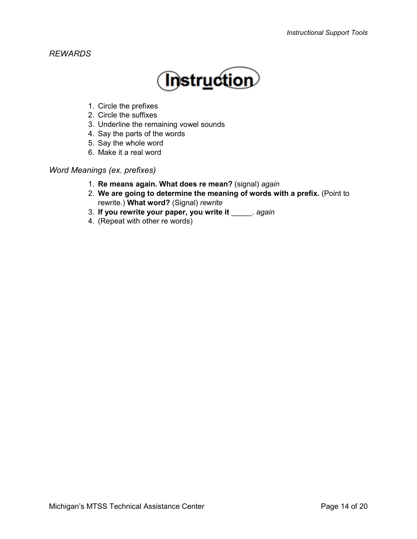## *REWARDS*



- 1. Circle the prefixes
- 2. Circle the suffixes
- 3. Underline the remaining vowel sounds
- 4. Say the parts of the words
- 5. Say the whole word
- 6. Make it a real word

*Word Meanings (ex. prefixes)*

- 1. **Re means again. What does re mean?** (signal) *again*
- 2. **We are going to determine the meaning of words with a prefix.** (Point to rewrite.) **What word?** (Signal) *rewrite*
- 3. **If you rewrite your paper, you write it** \_\_\_\_\_. *again*
- 4. (Repeat with other re words)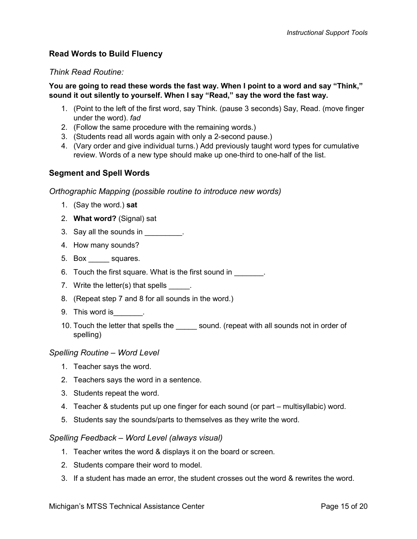## <span id="page-14-0"></span>**Read Words to Build Fluency**

## *Think Read Routine:*

#### **You are going to read these words the fast way. When I point to a word and say "Think," sound it out silently to yourself. When I say "Read," say the word the fast way.**

- 1. (Point to the left of the first word, say Think. (pause 3 seconds) Say, Read. (move finger under the word). *fad*
- 2. (Follow the same procedure with the remaining words.)
- 3. (Students read all words again with only a 2-second pause.)
- 4. (Vary order and give individual turns.) Add previously taught word types for cumulative review. Words of a new type should make up one-third to one-half of the list.

## <span id="page-14-1"></span>**Segment and Spell Words**

### *Orthographic Mapping (possible routine to introduce new words)*

- 1. (Say the word.) **sat**
- 2. **What word?** (Signal) sat
- 3. Say all the sounds in  $\frac{1}{\sqrt{1-\frac{1}{2}}}\$ .
- 4. How many sounds?
- 5. Box \_\_\_\_\_ squares.
- 6. Touch the first square. What is the first sound in  $\qquad \qquad$ .
- 7. Write the letter(s) that spells  $\qquad \qquad$ .
- 8. (Repeat step 7 and 8 for all sounds in the word.)
- 9. This word is  $\qquad \qquad$ .
- 10. Touch the letter that spells the sound. (repeat with all sounds not in order of spelling)

#### *Spelling Routine – Word Level*

- 1. Teacher says the word.
- 2. Teachers says the word in a sentence.
- 3. Students repeat the word.
- 4. Teacher & students put up one finger for each sound (or part multisyllabic) word.
- 5. Students say the sounds/parts to themselves as they write the word.

#### *Spelling Feedback – Word Level (always visual)*

- 1. Teacher writes the word & displays it on the board or screen.
- 2. Students compare their word to model.
- 3. If a student has made an error, the student crosses out the word & rewrites the word.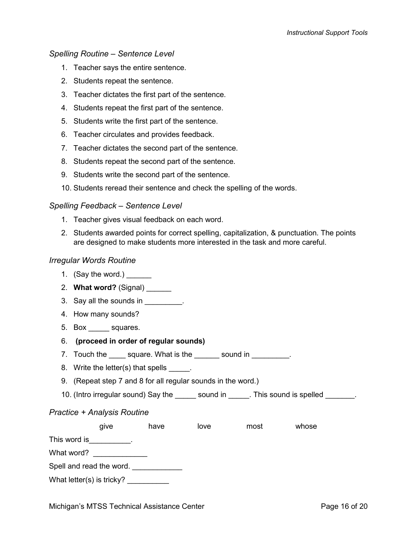#### *Spelling Routine – Sentence Level*

- 1. Teacher says the entire sentence.
- 2. Students repeat the sentence.
- 3. Teacher dictates the first part of the sentence.
- 4. Students repeat the first part of the sentence.
- 5. Students write the first part of the sentence.
- 6. Teacher circulates and provides feedback.
- 7. Teacher dictates the second part of the sentence.
- 8. Students repeat the second part of the sentence.
- 9. Students write the second part of the sentence.
- 10. Students reread their sentence and check the spelling of the words.

#### *Spelling Feedback – Sentence Level*

- 1. Teacher gives visual feedback on each word.
- 2. Students awarded points for correct spelling, capitalization, & punctuation. The points are designed to make students more interested in the task and more careful.

#### *Irregular Words Routine*

- 1. (Say the word.)
- 2. **What word?** (Signal)
- 3. Say all the sounds in \_\_\_\_\_\_\_\_\_.
- 4. How many sounds?
- 5. Box squares.
- 6. **(proceed in order of regular sounds)**
- 7. Touch the \_\_\_\_\_ square. What is the \_\_\_\_\_\_\_ sound in \_\_\_\_\_\_\_\_\_.
- 8. Write the letter(s) that spells .
- 9. (Repeat step 7 and 8 for all regular sounds in the word.)
- 10. (Intro irregular sound) Say the \_\_\_\_\_\_ sound in \_\_\_\_\_. This sound is spelled \_\_\_\_\_\_.

#### *Practice + Analysis Routine*

|                           | give | have | love | most | whose |
|---------------------------|------|------|------|------|-------|
| This word is              |      |      |      |      |       |
| What word?                |      |      |      |      |       |
| Spell and read the word.  |      |      |      |      |       |
| What letter(s) is tricky? |      |      |      |      |       |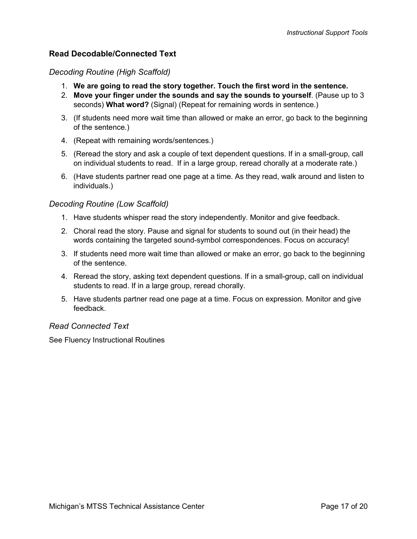## <span id="page-16-0"></span>**Read Decodable/Connected Text**

## *Decoding Routine (High Scaffold)*

- 1. **We are going to read the story together. Touch the first word in the sentence.**
- 2. **Move your finger under the sounds and say the sounds to yourself**. (Pause up to 3 seconds) **What word?** (Signal) (Repeat for remaining words in sentence.)
- 3. (If students need more wait time than allowed or make an error, go back to the beginning of the sentence.)
- 4. (Repeat with remaining words/sentences.)
- 5. (Reread the story and ask a couple of text dependent questions. If in a small-group, call on individual students to read. If in a large group, reread chorally at a moderate rate.)
- 6. (Have students partner read one page at a time. As they read, walk around and listen to individuals.)

## *Decoding Routine (Low Scaffold)*

- 1. Have students whisper read the story independently. Monitor and give feedback.
- 2. Choral read the story. Pause and signal for students to sound out (in their head) the words containing the targeted sound-symbol correspondences. Focus on accuracy!
- 3. If students need more wait time than allowed or make an error, go back to the beginning of the sentence.
- 4. Reread the story, asking text dependent questions. If in a small-group, call on individual students to read. If in a large group, reread chorally.
- 5. Have students partner read one page at a time. Focus on expression. Monitor and give feedback.

## *Read Connected Text*

See Fluency Instructional Routines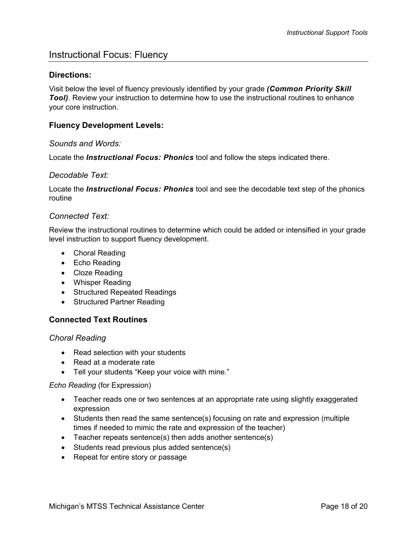## <span id="page-17-0"></span>Instructional Focus: Fluency

#### <span id="page-17-1"></span>**Directions:**

Visit below the level of fluency previously identified by your grade *(Common Priority Skill Tool*). Review your instruction to determine how to use the instructional routines to enhance your core instruction.

#### <span id="page-17-2"></span>**Fluency Development Levels:**

#### *Sounds and Words:*

Locate the *Instructional Focus: Phonics* tool and follow the steps indicated there.

#### *Decodable Text:*

Locate the *Instructional Focus: Phonics* tool and see the decodable text step of the phonics routine

#### *Connected Text:*

Review the instructional routines to determine which could be added or intensified in your grade level instruction to support fluency development.

- Choral Reading
- Echo Reading
- Cloze Reading
- Whisper Reading
- Structured Repeated Readings
- Structured Partner Reading

#### <span id="page-17-3"></span>**Connected Text Routines**

*Choral Reading*

- Read selection with your students
- Read at a moderate rate
- Tell your students "Keep your voice with mine."

#### *Echo Reading* (for Expression)

- Teacher reads one or two sentences at an appropriate rate using slightly exaggerated expression
- Students then read the same sentence(s) focusing on rate and expression (multiple times if needed to mimic the rate and expression of the teacher)
- Teacher repeats sentence(s) then adds another sentence(s)
- Students read previous plus added sentence(s)
- Repeat for entire story or passage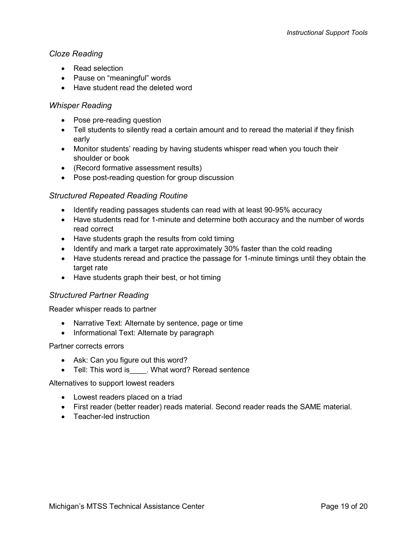## *Cloze Reading*

- Read selection
- Pause on "meaningful" words
- Have student read the deleted word

## *Whisper Reading*

- Pose pre-reading question
- Tell students to silently read a certain amount and to reread the material if they finish early
- Monitor students' reading by having students whisper read when you touch their shoulder or book
- (Record formative assessment results)
- Pose post-reading question for group discussion

## *Structured Repeated Reading Routine*

- Identify reading passages students can read with at least 90-95% accuracy
- Have students read for 1-minute and determine both accuracy and the number of words read correct
- Have students graph the results from cold timing
- Identify and mark a target rate approximately 30% faster than the cold reading
- Have students reread and practice the passage for 1-minute timings until they obtain the target rate
- Have students graph their best, or hot timing

## *Structured Partner Reading*

Reader whisper reads to partner

- Narrative Text: Alternate by sentence, page or time
- Informational Text: Alternate by paragraph

#### Partner corrects errors

- Ask: Can you figure out this word?
- Tell: This word is . What word? Reread sentence

Alternatives to support lowest readers

- Lowest readers placed on a triad
- First reader (better reader) reads material. Second reader reads the SAME material.
- Teacher-led instruction